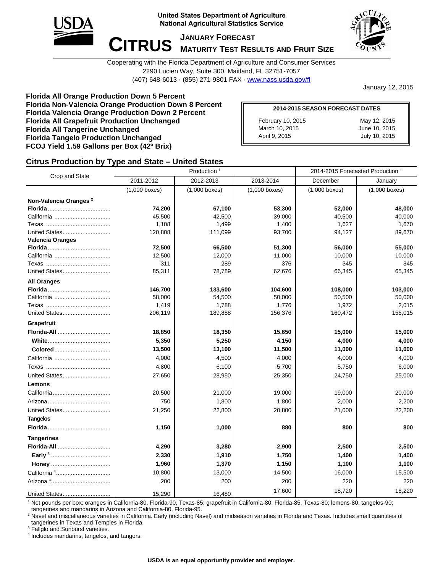

**United States Department of Agriculture National Agricultural Statistics Service** 



**CITRUS MATURITY TEST RES MATURITY TEST RESULTS AND FRUIT SIZE**

Cooperating with the Florida Department of Agriculture and Consumer Services 2290 Lucien Way, Suite 300, Maitland, FL 32751-7057 (407) 648-6013 · (855) 271-9801 FAX · [www.nass.usda.gov/fl](http://www.nass.usda.gov/fl)

January 12, 2015

**Florida All Orange Production Down 5 Percent Florida Non-Valencia Orange Production Down 8 Percent Florida Valencia Orange Production Down 2 Percent Florida All Grapefruit Production Unchanged Florida All Tangerine Unchanged Florida Tangelo Production Unchanged FCOJ Yield 1.59 Gallons per Box (42º Brix)**

| <b>2014-2015 SEASON FORECAST DATES</b> |               |  |  |  |  |  |  |
|----------------------------------------|---------------|--|--|--|--|--|--|
| February 10, 2015                      | May 12, 2015  |  |  |  |  |  |  |
| March 10, 2015                         | June 10, 2015 |  |  |  |  |  |  |
| April 9, 2015                          | July 10, 2015 |  |  |  |  |  |  |

### **Citrus Production by Type and State – United States**

| Crop and State                    |                 | Production <sup>1</sup> | 2014-2015 Forecasted Production <sup>1</sup> |                 |                 |
|-----------------------------------|-----------------|-------------------------|----------------------------------------------|-----------------|-----------------|
|                                   | 2011-2012       | 2012-2013               | 2013-2014                                    | December        | January         |
|                                   | $(1,000$ boxes) | $(1,000$ boxes)         | $(1,000$ boxes)                              | $(1,000$ boxes) | $(1,000$ boxes) |
| Non-Valencia Oranges <sup>2</sup> |                 |                         |                                              |                 |                 |
|                                   | 74,200          | 67,100                  | 53,300                                       | 52,000          | 48,000          |
|                                   | 45,500          | 42,500                  | 39,000                                       | 40,500          | 40,000          |
|                                   | 1,108           | 1,499                   | 1,400                                        | 1,627           | 1,670           |
| United States                     | 120,808         | 111,099                 | 93,700                                       | 94,127          | 89,670          |
| <b>Valencia Oranges</b>           |                 |                         |                                              |                 |                 |
|                                   | 72,500          | 66,500                  | 51,300                                       | 56,000          | 55,000          |
|                                   | 12,500          | 12,000                  | 11,000                                       | 10,000          | 10,000          |
|                                   | 311             | 289                     | 376                                          | 345             | 345             |
| United States                     | 85,311          | 78,789                  | 62,676                                       | 66,345          | 65,345          |
| <b>All Oranges</b>                |                 |                         |                                              |                 |                 |
|                                   | 146,700         | 133,600                 | 104,600                                      | 108,000         | 103,000         |
|                                   | 58,000          | 54,500                  | 50,000                                       | 50,500          | 50,000          |
|                                   | 1,419           | 1,788                   | 1,776                                        | 1,972           | 2,015           |
| United States                     | 206,119         | 189,888                 | 156,376                                      | 160,472         | 155,015         |
| Grapefruit                        |                 |                         |                                              |                 |                 |
| Florida-All                       | 18,850          | 18,350                  | 15,650                                       | 15,000          | 15,000          |
|                                   | 5,350           | 5,250                   | 4,150                                        | 4,000           | 4,000           |
| Colored                           | 13,500          | 13,100                  | 11,500                                       | 11,000          | 11,000          |
| California                        | 4,000           | 4,500                   | 4,000                                        | 4,000           | 4,000           |
|                                   | 4,800           | 6,100                   | 5,700                                        | 5,750           | 6,000           |
| United States                     | 27,650          | 28,950                  | 25,350                                       | 24,750          | 25,000          |
| Lemons                            |                 |                         |                                              |                 |                 |
|                                   | 20,500          | 21,000                  | 19,000                                       | 19,000          | 20,000          |
|                                   | 750             | 1,800                   | 1,800                                        | 2,000           | 2,200           |
| United States                     | 21,250          | 22,800                  | 20,800                                       | 21,000          | 22,200          |
| <b>Tangelos</b>                   |                 |                         |                                              |                 |                 |
|                                   | 1,150           | 1,000                   | 880                                          | 800             | 800             |
| <b>Tangerines</b>                 |                 |                         |                                              |                 |                 |
| Florida-All                       | 4,290           | 3,280                   | 2,900                                        | 2,500           | 2,500           |
|                                   | 2,330           | 1,910                   | 1,750                                        | 1,400           | 1,400           |
|                                   | 1,960           | 1,370                   | 1,150                                        | 1,100           | 1,100           |
|                                   | 10,800          | 13,000                  | 14,500                                       | 16,000          | 15,500          |
|                                   | 200             | 200                     | 200                                          | 220             | 220             |
| United States                     | 15,290          | 16,480                  | 17,600                                       | 18,720          | 18,220          |

<sup>1</sup> Net pounds per box: oranges in California-80, Florida-90, Texas-85; grapefruit in California-80, Florida-85, Texas-80; lemons-80, tangelos-90; tangerines and mandarins in Arizona and California-80, Florida-95.

<sup>2</sup> Navel and miscellaneous varieties in California. Early (including Navel) and midseason varieties in Florida and Texas. Includes small quantities of tangerines in Texas and Temples in Florida.

<sup>3</sup> Fallglo and Sunburst varieties.

4 Includes mandarins, tangelos, and tangors.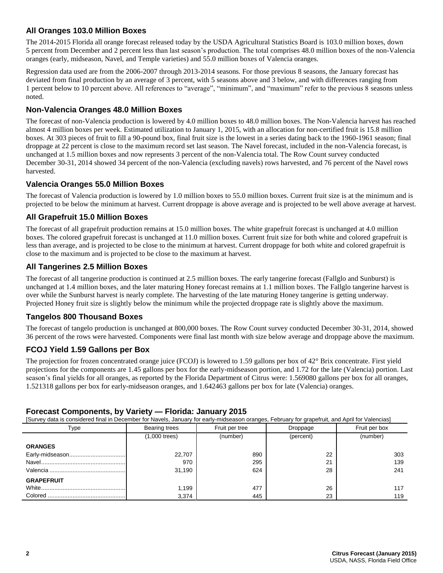### **All Oranges 103.0 Million Boxes**

The 2014-2015 Florida all orange forecast released today by the USDA Agricultural Statistics Board is 103.0 million boxes, down 5 percent from December and 2 percent less than last season's production. The total comprises 48.0 million boxes of the non-Valencia oranges (early, midseason, Navel, and Temple varieties) and 55.0 million boxes of Valencia oranges.

Regression data used are from the 2006-2007 through 2013-2014 seasons. For those previous 8 seasons, the January forecast has deviated from final production by an average of 3 percent, with 5 seasons above and 3 below, and with differences ranging from 1 percent below to 10 percent above. All references to "average", "minimum", and "maximum" refer to the previous 8 seasons unless noted.

### **Non-Valencia Oranges 48.0 Million Boxes**

The forecast of non-Valencia production is lowered by 4.0 million boxes to 48.0 million boxes. The Non-Valencia harvest has reached almost 4 million boxes per week. Estimated utilization to January 1, 2015, with an allocation for non-certified fruit is 15.8 million boxes. At 303 pieces of fruit to fill a 90-pound box, final fruit size is the lowest in a series dating back to the 1960-1961 season; final droppage at 22 percent is close to the maximum record set last season. The Navel forecast, included in the non-Valencia forecast, is unchanged at 1.5 million boxes and now represents 3 percent of the non-Valencia total. The Row Count survey conducted December 30-31, 2014 showed 34 percent of the non-Valencia (excluding navels) rows harvested, and 76 percent of the Navel rows harvested.

### **Valencia Oranges 55.0 Million Boxes**

The forecast of Valencia production is lowered by 1.0 million boxes to 55.0 million boxes. Current fruit size is at the minimum and is projected to be below the minimum at harvest. Current droppage is above average and is projected to be well above average at harvest.

# **All Grapefruit 15.0 Million Boxes**

The forecast of all grapefruit production remains at 15.0 million boxes. The white grapefruit forecast is unchanged at 4.0 million boxes. The colored grapefruit forecast is unchanged at 11.0 million boxes. Current fruit size for both white and colored grapefruit is less than average, and is projected to be close to the minimum at harvest. Current droppage for both white and colored grapefruit is close to the maximum and is projected to be close to the maximum at harvest.

# **All Tangerines 2.5 Million Boxes**

The forecast of all tangerine production is continued at 2.5 million boxes. The early tangerine forecast (Fallglo and Sunburst) is unchanged at 1.4 million boxes, and the later maturing Honey forecast remains at 1.1 million boxes. The Fallglo tangerine harvest is over while the Sunburst harvest is nearly complete. The harvesting of the late maturing Honey tangerine is getting underway. Projected Honey fruit size is slightly below the minimum while the projected droppage rate is slightly above the maximum.

### **Tangelos 800 Thousand Boxes**

The forecast of tangelo production is unchanged at 800,000 boxes. The Row Count survey conducted December 30-31, 2014, showed 36 percent of the rows were harvested. Components were final last month with size below average and droppage above the maximum.

### **FCOJ Yield 1.59 Gallons per Box**

The projection for frozen concentrated orange juice (FCOJ) is lowered to 1.59 gallons per box of 42° Brix concentrate. First yield projections for the components are 1.45 gallons per box for the early-midseason portion, and 1.72 for the late (Valencia) portion. Last season's final yields for all oranges, as reported by the Florida Department of Citrus were: 1.569080 gallons per box for all oranges, 1.521318 gallons per box for early-midseason oranges, and 1.642463 gallons per box for late (Valencia) oranges.

| [Survey data is considered final in December for Navels, January for early-midseason oranges, February for grapefruit, and April for Valencias] |                 |                |          |               |  |  |  |  |  |  |
|-------------------------------------------------------------------------------------------------------------------------------------------------|-----------------|----------------|----------|---------------|--|--|--|--|--|--|
| Type                                                                                                                                            | Bearing trees   | Fruit per tree | Droppage | Fruit per box |  |  |  |  |  |  |
|                                                                                                                                                 | $(1,000$ trees) | (number)       |          | (number)      |  |  |  |  |  |  |
| <b>ORANGES</b>                                                                                                                                  |                 |                |          |               |  |  |  |  |  |  |
|                                                                                                                                                 | 22,707          | 890            | 22       | 303           |  |  |  |  |  |  |
|                                                                                                                                                 | 970             | 295            | 21       | 139           |  |  |  |  |  |  |
|                                                                                                                                                 | 31,190          | 624            | 28       | 241           |  |  |  |  |  |  |
| <b>GRAPEFRUIT</b>                                                                                                                               |                 |                |          |               |  |  |  |  |  |  |
|                                                                                                                                                 | 1,199           | 477            | 26       | 117           |  |  |  |  |  |  |
|                                                                                                                                                 | 3,374           | 445            | 23       | 119           |  |  |  |  |  |  |

# **Forecast Components, by Variety — Florida: January 2015**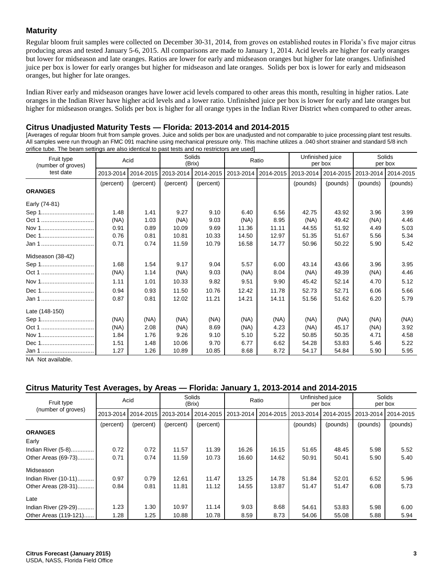### **Maturity**

Regular bloom fruit samples were collected on December 30-31, 2014, from groves on established routes in Florida's five major citrus producing areas and tested January 5-6, 2015. All comparisons are made to January 1, 2014. Acid levels are higher for early oranges but lower for midseason and late oranges. Ratios are lower for early and midseason oranges but higher for late oranges. Unfinished juice per box is lower for early oranges but higher for midseason and late oranges. Solids per box is lower for early and midseason oranges, but higher for late oranges.

Indian River early and midseason oranges have lower acid levels compared to other areas this month, resulting in higher ratios. Late oranges in the Indian River have higher acid levels and a lower ratio. Unfinished juice per box is lower for early and late oranges but higher for midseason oranges. Solids per box is higher for all orange types in the Indian River District when compared to other areas.

#### **Citrus Unadjusted Maturity Tests — Florida: 2013-2014 and 2014-2015**

[Averages of regular bloom fruit from sample groves. Juice and solids per box are unadjusted and not comparable to juice processing plant test results. All samples were run through an FMC 091 machine using mechanical pressure only. This machine utilizes a .040 short strainer and standard 5/8 inch orifice tube. The beam settings are also identical to past tests and no restrictors are used]

| Fruit type<br>(number of groves) | Acid      |           | Solids<br>(Brix) |           | Ratio     |           | Unfinished juice<br>per box |                     | Solids<br>per box |           |
|----------------------------------|-----------|-----------|------------------|-----------|-----------|-----------|-----------------------------|---------------------|-------------------|-----------|
| test date                        | 2013-2014 | 2014-2015 | 2013-2014        | 2014-2015 | 2013-2014 | 2014-2015 |                             | 2013-2014 2014-2015 | 2013-2014         | 2014-2015 |
| <b>ORANGES</b>                   | (percent) | (percent) | (percent)        | (percent) |           |           | (pounds)                    | (pounds)            | (pounds)          | (pounds)  |
| Early (74-81)                    |           |           |                  |           |           |           |                             |                     |                   |           |
|                                  | 1.48      | 1.41      | 9.27             | 9.10      | 6.40      | 6.56      | 42.75                       | 43.92               | 3.96              | 3.99      |
| Oct 1                            | (NA)      | 1.03      | (NA)             | 9.03      | (NA)      | 8.95      | (NA)                        | 49.42               | (NA)              | 4.46      |
| Nov 1                            | 0.91      | 0.89      | 10.09            | 9.69      | 11.36     | 11.11     | 44.55                       | 51.92               | 4.49              | 5.03      |
| Dec 1                            | 0.76      | 0.81      | 10.81            | 10.33     | 14.50     | 12.97     | 51.35                       | 51.67               | 5.56              | 5.34      |
| Jan 1                            | 0.71      | 0.74      | 11.59            | 10.79     | 16.58     | 14.77     | 50.96                       | 50.22               | 5.90              | 5.42      |
| Midseason (38-42)                |           |           |                  |           |           |           |                             |                     |                   |           |
|                                  | 1.68      | 1.54      | 9.17             | 9.04      | 5.57      | 6.00      | 43.14                       | 43.66               | 3.96              | 3.95      |
| Oct 1                            | (NA)      | 1.14      | (NA)             | 9.03      | (NA)      | 8.04      | (NA)                        | 49.39               | (NA)              | 4.46      |
| Nov 1                            | 1.11      | 1.01      | 10.33            | 9.82      | 9.51      | 9.90      | 45.42                       | 52.14               | 4.70              | 5.12      |
| Dec 1                            | 0.94      | 0.93      | 11.50            | 10.76     | 12.42     | 11.78     | 52.73                       | 52.71               | 6.06              | 5.66      |
| Jan 1                            | 0.87      | 0.81      | 12.02            | 11.21     | 14.21     | 14.11     | 51.56                       | 51.62               | 6.20              | 5.79      |
| Late (148-150)                   |           |           |                  |           |           |           |                             |                     |                   |           |
|                                  | (NA)      | (NA)      | (NA)             | (NA)      | (NA)      | (NA)      | (NA)                        | (NA)                | (NA)              | (NA)      |
| Oct 1                            | (NA)      | 2.08      | (NA)             | 8.69      | (NA)      | 4.23      | (NA)                        | 45.17               | (NA)              | 3.92      |
| Nov 1                            | 1.84      | 1.76      | 9.26             | 9.10      | 5.10      | 5.22      | 50.85                       | 50.35               | 4.71              | 4.58      |
| Dec 1                            | 1.51      | 1.48      | 10.06            | 9.70      | 6.77      | 6.62      | 54.28                       | 53.83               | 5.46              | 5.22      |
| Jan 1                            | 1.27      | 1.26      | 10.89            | 10.85     | 8.68      | 8.72      | 54.17                       | 54.84               | 5.90              | 5.95      |

NA Not available.

### **Citrus Maturity Test Averages, by Areas — Florida: January 1, 2013-2014 and 2014-2015**

| Fruit type            | Acid      |           | Solids<br>(Brix) |           | Ratio     |           | Unfinished juice<br>per box |          | Solids<br>per box |           |
|-----------------------|-----------|-----------|------------------|-----------|-----------|-----------|-----------------------------|----------|-------------------|-----------|
| (number of groves)    | 2013-2014 | 2014-2015 | 2013-2014        | 2014-2015 | 2013-2014 | 2014-2015 | 2013-2014 2014-2015         |          | 2013-2014         | 2014-2015 |
|                       | (percent) | (percent) | (percent)        | (percent) |           |           | (pounds)                    | (pounds) | (pounds)          | (pounds)  |
| <b>ORANGES</b>        |           |           |                  |           |           |           |                             |          |                   |           |
| Early                 |           |           |                  |           |           |           |                             |          |                   |           |
| Indian River (5-8)    | 0.72      | 0.72      | 11.57            | 11.39     | 16.26     | 16.15     | 51.65                       | 48.45    | 5.98              | 5.52      |
| Other Areas (69-73)   | 0.71      | 0.74      | 11.59            | 10.73     | 16.60     | 14.62     | 50.91                       | 50.41    | 5.90              | 5.40      |
| Midseason             |           |           |                  |           |           |           |                             |          |                   |           |
| Indian River (10-11)  | 0.97      | 0.79      | 12.61            | 11.47     | 13.25     | 14.78     | 51.84                       | 52.01    | 6.52              | 5.96      |
| Other Areas (28-31)   | 0.84      | 0.81      | 11.81            | 11.12     | 14.55     | 13.87     | 51.47                       | 51.47    | 6.08              | 5.73      |
| Late                  |           |           |                  |           |           |           |                             |          |                   |           |
| Indian River (29-29)  | 1.23      | 1.30      | 10.97            | 11.14     | 9.03      | 8.68      | 54.61                       | 53.83    | 5.98              | 6.00      |
| Other Areas (119-121) | 1.28      | 1.25      | 10.88            | 10.78     | 8.59      | 8.73      | 54.06                       | 55.08    | 5.88              | 5.94      |